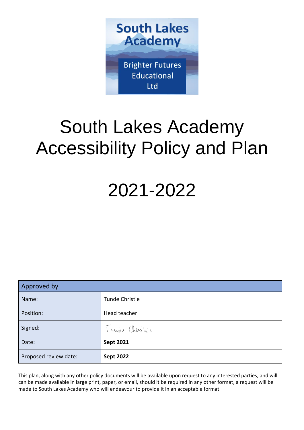

# South Lakes Academy Accessibility Policy and Plan

## 2021-2022

| Approved by           |                  |  |
|-----------------------|------------------|--|
| Name:                 | Tunde Christie   |  |
| Position:             | Head teacher     |  |
| Signed:               | Turde Christic   |  |
| Date:                 | <b>Sept 2021</b> |  |
| Proposed review date: | <b>Sept 2022</b> |  |

This plan, along with any other policy documents will be available upon request to any interested parties, and will can be made available in large print, paper, or email, should it be required in any other format, a request will be made to South Lakes Academy who will endeavour to provide it in an acceptable format.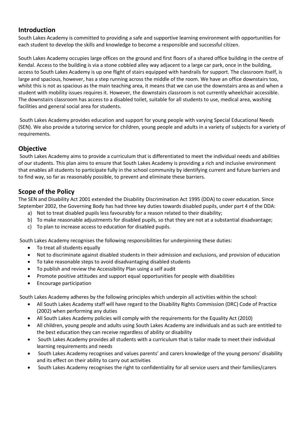### **Introduction**

South Lakes Academy is committed to providing a safe and supportive learning environment with opportunities for each student to develop the skills and knowledge to become a responsible and successful citizen.

South Lakes Academy occupies large offices on the ground and first floors of a shared office building in the centre of Kendal. Access to the building is via a stone cobbled alley way adjacent to a large car park, once in the building, access to South Lakes Academy is up one flight of stairs equipped with handrails for support. The classroom itself, is large and spacious, however, has a step running across the middle of the room. We have an office downstairs too, whilst this is not as spacious as the main teaching area, it means that we can use the downstairs area as and when a student with mobility issues requires it. However, the downstairs classroom is not currently wheelchair accessible. The downstairs classroom has access to a disabled toilet, suitable for all students to use, medical area, washing facilities and general social area for students.

South Lakes Academy provides education and support for young people with varying Special Educational Needs (SEN). We also provide a tutoring service for children, young people and adults in a variety of subjects for a variety of requirements.

### **Objective**

South Lakes Academy aims to provide a curriculum that is differentiated to meet the individual needs and abilities of our students. This plan aims to ensure that South Lakes Academy is providing a rich and inclusive environment that enables all students to participate fully in the school community by identifying current and future barriers and to find way, so far as reasonably possible, to prevent and eliminate these barriers.

## **Scope of the Policy**

The SEN and Disability Act 2001 extended the Disability Discrimination Act 1995 (DDA) to cover education. Since September 2002, the Governing Body has had three key duties towards disabled pupils, under part 4 of the DDA:

- a) Not to treat disabled pupils less favourably for a reason related to their disability;
- b) To make reasonable adjustments for disabled pupils, so that they are not at a substantial disadvantage;
- c) To plan to increase access to education for disabled pupils.

South Lakes Academy recognises the following responsibilities for underpinning these duties:

- To treat all students equally
- Not to discriminate against disabled students in their admission and exclusions, and provision of education
- To take reasonable steps to avoid disadvantaging disabled students
- To publish and review the Accessibility Plan using a self audit
- Promote positive attitudes and support equal opportunities for people with disabilities
- Encourage participation

South Lakes Academy adheres by the following principles which underpin all activities within the school:

- All South Lakes Academy staff will have regard to the Disability Rights Commission (DRC) Code of Practice (2002) when performing any duties
- All South Lakes Academy policies will comply with the requirements for the Equality Act (2010)
- All children, young people and adults using South Lakes Academy are individuals and as such are entitled to the best education they can receive regardless of ability or disability
- South Lakes Academy provides all students with a curriculum that is tailor made to meet their individual learning requirements and needs
- South Lakes Academy recognises and values parents' and carers knowledge of the young persons' disability and its effect on their ability to carry out activities
- South Lakes Academy recognises the right to confidentiality for all service users and their families/carers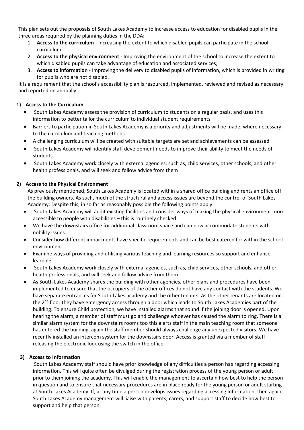This plan sets out the proposals of South Lakes Academy to increase access to education for disabled pupils in the three areas required by the planning duties in the DDA:

- 1. **Access to the curriculum** Increasing the extent to which disabled pupils can participate in the school curriculum;
- 2. **Access to the physical environment** Improving the environment of the school to increase the extent to which disabled pupils can take advantage of education and associated services;
- 3. **Access to information** Improving the delivery to disabled pupils of information, which is provided in writing for pupils who are not disabled.

It Is a requirement that the school's accessibility plan is resourced, implemented, reviewed and revised as necessary and reported on annually.

#### **1) Access to the Curriculum**

- South Lakes Academy assess the provision of curriculum to students on a regular basis, and uses this information to better tailor the curriculum to individual student requirements
- Barriers to participation in South Lakes Academy is a priority and adjustments will be made, where necessary, to the curriculum and teaching methods
- A challenging curriculum will be created with suitable targets are set and achievements can be assessed
- South Lakes Academy will identify staff development needs to improve their ability to meet the needs of students
- South Lakes Academy work closely with external agencies, such as, child services, other schools, and other health professionals, and will seek and follow advice from them

#### **2) Access to the Physical Environment**

As previously mentioned, South Lakes Academy is located within a shared office building and rents an office off the building owners. As such, much of the structural and access issues are beyond the control of South Lakes Academy. Despite this, in so far as reasonably possible the following points apply:

- South Lakes Academy will audit existing facilities and consider ways of making the physical environment more accessible to people with disabilities – this is routinely checked
- We have the downstairs office for additional classroom space and can now accommodate students with nobility issues.
- Consider how different impairments have specific requirements and can be best catered for within the school environment
- Examine ways of providing and utilising various teaching and learning resources so support and enhance learning
- South Lakes Academy work closely with external agencies, such as, child services, other schools, and other health professionals, and will seek and follow advice from them
- As South Lakes Academy shares the building with other agencies, other plans and procedures have been implemented to ensure that the occupiers of the other offices do not have any contact with the students. We have separate entrances for South Lakes academy and the other tenants. As the other tenants are located on the 2<sup>nd</sup> floor they have emergency access through a door which leads to South Lakes Academies part of the building. To ensure Child protection, we have installed alarms that sound if the joining door is opened. Upon hearing the alarm, a member of staff must go and challenge whoever has caused the alarm to ring. There is a similar alarm system for the downstairs rooms too this alerts staff in the main teaching room that someone has entered the building, again the staff member should always challenge any unexpected visitors. We have recently installed an intercom system for the downstairs door. Access is granted via a member of staff releasing the electronic lock using the switch in the office.

#### **3) Access to Information**

South Lakes Academy staff should have prior knowledge of any difficulties a person has regarding accessing information. This will quite often be divulged during the registration process of the young person or adult prior to them joining the academy. This will enable the management to ascertain how best to help the person in question and to ensure that necessary procedures are in place ready for the young person or adult starting at South Lakes Academy. If, at any time a person develops issues regarding accessing information, then again, South Lakes Academy management will liaise with parents, carers, and support staff to decide how best to support and help that person.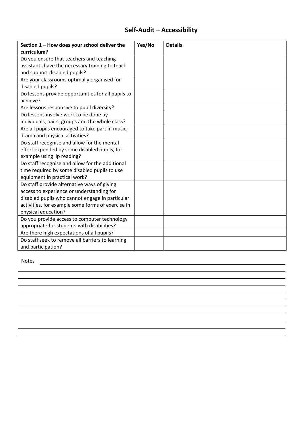## **Self-Audit – Accessibility**

| Section 1 - How does your school deliver the<br>curriculum? | Yes/No | <b>Details</b> |
|-------------------------------------------------------------|--------|----------------|
| Do you ensure that teachers and teaching                    |        |                |
| assistants have the necessary training to teach             |        |                |
| and support disabled pupils?                                |        |                |
| Are your classrooms optimally organised for                 |        |                |
| disabled pupils?                                            |        |                |
| Do lessons provide opportunities for all pupils to          |        |                |
| achieve?                                                    |        |                |
| Are lessons responsive to pupil diversity?                  |        |                |
| Do lessons involve work to be done by                       |        |                |
| individuals, pairs, groups and the whole class?             |        |                |
| Are all pupils encouraged to take part in music,            |        |                |
| drama and physical activities?                              |        |                |
| Do staff recognise and allow for the mental                 |        |                |
| effort expended by some disabled pupils, for                |        |                |
| example using lip reading?                                  |        |                |
| Do staff recognise and allow for the additional             |        |                |
| time required by some disabled pupils to use                |        |                |
| equipment in practical work?                                |        |                |
| Do staff provide alternative ways of giving                 |        |                |
| access to experience or understanding for                   |        |                |
| disabled pupils who cannot engage in particular             |        |                |
| activities, for example some forms of exercise in           |        |                |
| physical education?                                         |        |                |
| Do you provide access to computer technology                |        |                |
| appropriate for students with disabilities?                 |        |                |
| Are there high expectations of all pupils?                  |        |                |
| Do staff seek to remove all barriers to learning            |        |                |
| and participation?                                          |        |                |

Notes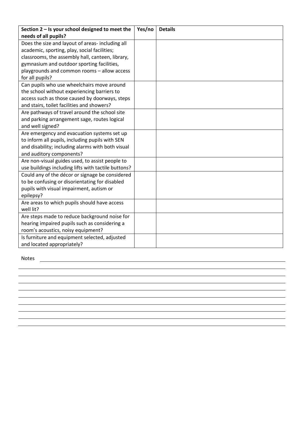| Section 2 - Is your school designed to meet the     | Yes/no | <b>Details</b> |
|-----------------------------------------------------|--------|----------------|
| needs of all pupils?                                |        |                |
| Does the size and layout of areas- including all    |        |                |
| academic, sporting, play, social facilities;        |        |                |
| classrooms, the assembly hall, canteen, library,    |        |                |
| gymnasium and outdoor sporting facilities,          |        |                |
| playgrounds and common rooms - allow access         |        |                |
| for all pupils?                                     |        |                |
| Can pupils who use wheelchairs move around          |        |                |
| the school without experiencing barriers to         |        |                |
| access such as those caused by doorways, steps      |        |                |
| and stairs, toilet facilities and showers?          |        |                |
| Are pathways of travel around the school site       |        |                |
| and parking arrangement sage, routes logical        |        |                |
| and well signed?                                    |        |                |
| Are emergency and evacuation systems set up         |        |                |
| to inform all pupils, including pupils with SEN     |        |                |
| and disability; including alarms with both visual   |        |                |
| and auditory components?                            |        |                |
| Are non-visual guides used, to assist people to     |        |                |
| use buildings including lifts with tactile buttons? |        |                |
| Could any of the décor or signage be considered     |        |                |
| to be confusing or disorientating for disabled      |        |                |
| pupils with visual impairment, autism or            |        |                |
| epilepsy?                                           |        |                |
| Are areas to which pupils should have access        |        |                |
| well lit?                                           |        |                |
| Are steps made to reduce background noise for       |        |                |
| hearing impaired pupils such as considering a       |        |                |
| room's acoustics, noisy equipment?                  |        |                |
| Is furniture and equipment selected, adjusted       |        |                |
| and located appropriately?                          |        |                |

Notes